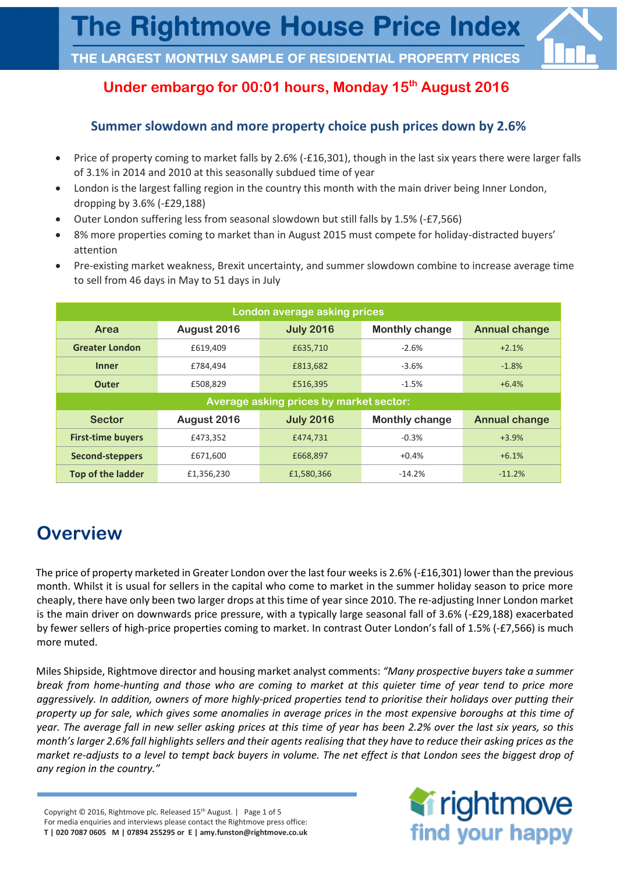## **Under embargo for 00:01 hours, Monday 15th August 2016**

### **Summer slowdown and more property choice push prices down by 2.6%**

- Price of property coming to market falls by 2.6% (-£16,301), though in the last six years there were larger falls of 3.1% in 2014 and 2010 at this seasonally subdued time of year
- London is the largest falling region in the country this month with the main driver being Inner London, dropping by 3.6% (-£29,188)
- Outer London suffering less from seasonal slowdown but still falls by 1.5% (-£7,566)
- 8% more properties coming to market than in August 2015 must compete for holiday-distracted buyers' attention
- Pre-existing market weakness, Brexit uncertainty, and summer slowdown combine to increase average time to sell from 46 days in May to 51 days in July

| London average asking prices            |             |                  |                       |                      |  |  |
|-----------------------------------------|-------------|------------------|-----------------------|----------------------|--|--|
| <b>Area</b>                             | August 2016 | <b>July 2016</b> | <b>Monthly change</b> | <b>Annual change</b> |  |  |
| <b>Greater London</b>                   | £619,409    | £635,710         | $-2.6%$               | $+2.1%$              |  |  |
| <b>Inner</b>                            | £784,494    | £813,682         | $-3.6%$               | $-1.8%$              |  |  |
| <b>Outer</b>                            | £508,829    | £516,395         | $-1.5%$               | $+6.4%$              |  |  |
| Average asking prices by market sector: |             |                  |                       |                      |  |  |
|                                         |             |                  |                       |                      |  |  |
| <b>Sector</b>                           | August 2016 | <b>July 2016</b> | <b>Monthly change</b> | <b>Annual change</b> |  |  |
| <b>First-time buyers</b>                | £473,352    | £474,731         | $-0.3%$               | $+3.9%$              |  |  |
| <b>Second-steppers</b>                  | £671,600    | £668,897         | $+0.4%$               | $+6.1%$              |  |  |

# **Overview**

The price of property marketed in Greater London over the last four weeks is 2.6% (-£16,301) lower than the previous month. Whilst it is usual for sellers in the capital who come to market in the summer holiday season to price more cheaply, there have only been two larger drops at this time of year since 2010. The re-adjusting Inner London market is the main driver on downwards price pressure, with a typically large seasonal fall of 3.6% (-£29,188) exacerbated by fewer sellers of high-price properties coming to market. In contrast Outer London's fall of 1.5% (-£7,566) is much more muted.

 Miles Shipside, Rightmove director and housing market analyst comments: *"Many prospective buyers take a summer break from home-hunting and those who are coming to market at this quieter time of year tend to price more aggressively. In addition, owners of more highly-priced properties tend to prioritise their holidays over putting their property up for sale, which gives some anomalies in average prices in the most expensive boroughs at this time of year. The average fall in new seller asking prices at this time of year has been 2.2% over the last six years, so this month's larger 2.6% fall highlights sellers and their agents realising that they have to reduce their asking prices as the market re-adjusts to a level to tempt back buyers in volume. The net effect is that London sees the biggest drop of any region in the country."*

Copyright © 2016, Rightmove plc. Released 15<sup>th</sup> August. | Page 1 of 5 For media enquiries and interviews please contact the Rightmove press office: **T | 020 7087 0605 M | 07894 255295 or E | amy.funston@rightmove.co.uk**

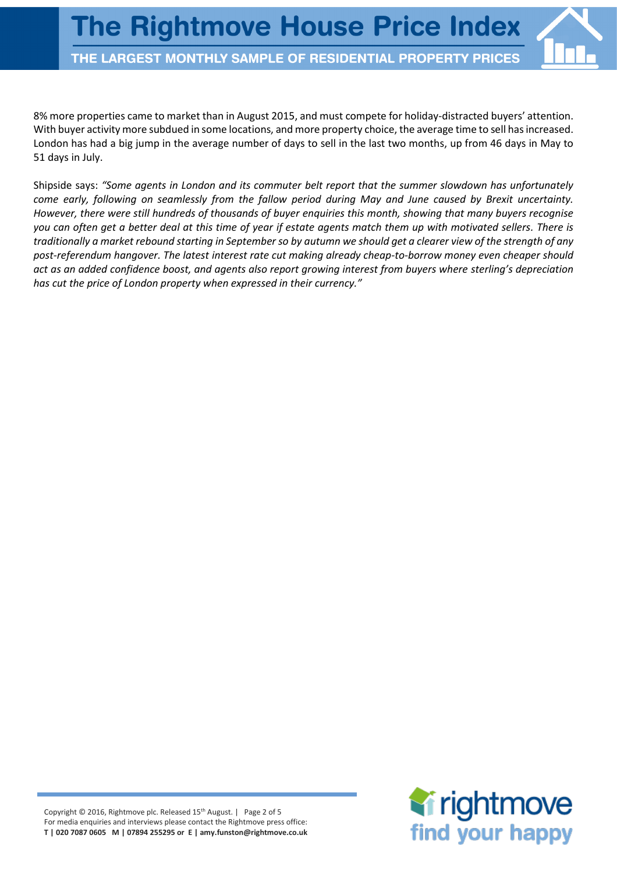8% more properties came to market than in August 2015, and must compete for holiday-distracted buyers' attention. With buyer activity more subdued in some locations, and more property choice, the average time to sell has increased. London has had a big jump in the average number of days to sell in the last two months, up from 46 days in May to 51 days in July.

Shipside says: *"Some agents in London and its commuter belt report that the summer slowdown has unfortunately come early, following on seamlessly from the fallow period during May and June caused by Brexit uncertainty. However, there were still hundreds of thousands of buyer enquiries this month, showing that many buyers recognise you can often get a better deal at this time of year if estate agents match them up with motivated sellers. There is traditionally a market rebound starting in September so by autumn we should get a clearer view of the strength of any post-referendum hangover. The latest interest rate cut making already cheap-to-borrow money even cheaper should act as an added confidence boost, and agents also report growing interest from buyers where sterling's depreciation has cut the price of London property when expressed in their currency."*

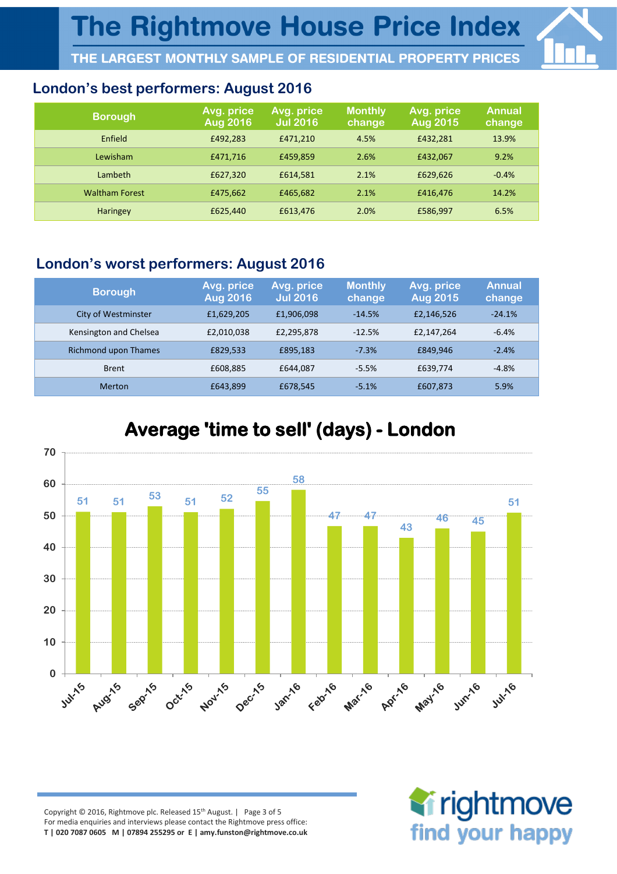## **London's best performers: August 2016**

| <b>Borough</b>        | Avg. price<br><b>Aug 2016</b> | Avg. price<br><b>Jul 2016</b> | <b>Monthly</b><br>change | Avg. price<br><b>Aug 2015</b> | <b>Annual</b><br>change |
|-----------------------|-------------------------------|-------------------------------|--------------------------|-------------------------------|-------------------------|
| Enfield               | £492,283                      | £471.210                      | 4.5%                     | £432,281                      | 13.9%                   |
| Lewisham              | £471,716                      | £459.859                      | 2.6%                     | £432.067                      | 9.2%                    |
| Lambeth               | £627,320                      | £614.581                      | 2.1%                     | £629,626                      | $-0.4%$                 |
| <b>Waltham Forest</b> | £475,662                      | £465.682                      | 2.1%                     | £416.476                      | 14.2%                   |
| <b>Haringey</b>       | £625,440                      | £613,476                      | 2.0%                     | £586,997                      | 6.5%                    |

## **London's worst performers: August 2016**

| <b>Borough</b>         | Avg. price<br><b>Aug 2016</b> | Avg. price<br><b>Jul 2016</b> | <b>Monthly</b><br>change | Avg. price<br><b>Aug 2015</b> | <b>Annual</b><br>change |
|------------------------|-------------------------------|-------------------------------|--------------------------|-------------------------------|-------------------------|
| City of Westminster    | £1,629,205                    | £1,906,098                    | $-14.5%$                 | £2,146,526                    | $-24.1%$                |
| Kensington and Chelsea | £2,010,038                    | £2,295,878                    | $-12.5%$                 | £2.147.264                    | $-6.4%$                 |
| Richmond upon Thames   | £829,533                      | £895,183                      | $-7.3%$                  | £849.946                      | $-2.4%$                 |
| <b>Brent</b>           | £608,885                      | £644,087                      | $-5.5%$                  | £639,774                      | $-4.8%$                 |
| Merton                 | £643,899                      | £678,545                      | $-5.1%$                  | £607,873                      | 5.9%                    |



## **Average 'time to sell' (days) - London**

Copyright © 2016, Rightmove plc. Released 15<sup>th</sup> August. | Page 3 of 5 For media enquiries and interviews please contact the Rightmove press office: **T | 020 7087 0605 M | 07894 255295 or E | amy.funston@rightmove.co.uk**

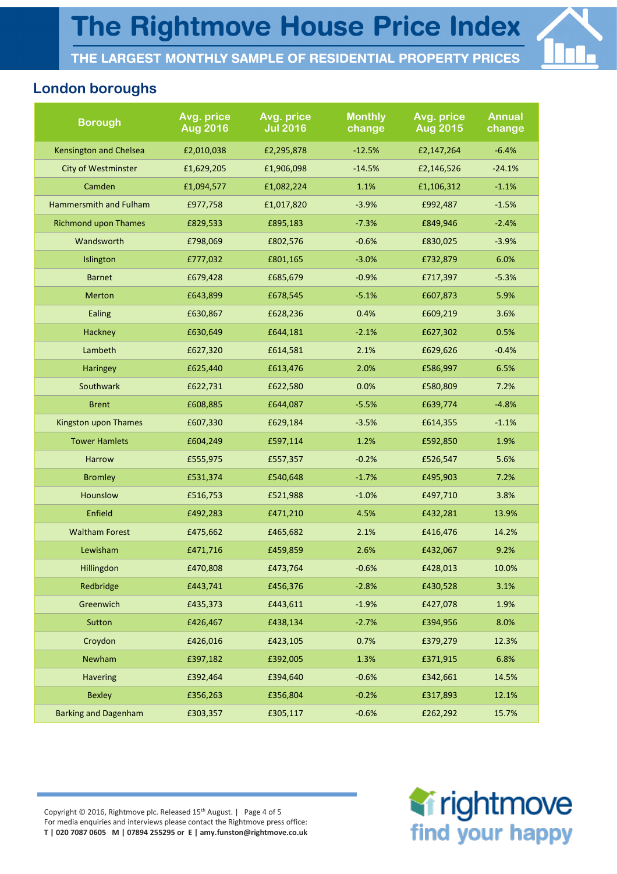

### **London boroughs**

| <b>Borough</b>                | Avg. price<br><b>Aug 2016</b> | Avg. price<br><b>Jul 2016</b> | <b>Monthly</b><br>change | Avg. price<br><b>Aug 2015</b> | <b>Annual</b><br>change |
|-------------------------------|-------------------------------|-------------------------------|--------------------------|-------------------------------|-------------------------|
| <b>Kensington and Chelsea</b> | £2,010,038                    | £2,295,878                    | $-12.5%$                 | £2,147,264                    | $-6.4%$                 |
| <b>City of Westminster</b>    | £1,629,205                    | £1,906,098                    | $-14.5%$                 | £2,146,526                    | $-24.1%$                |
| Camden                        | £1,094,577                    | £1,082,224                    | 1.1%                     | £1,106,312                    | $-1.1%$                 |
| Hammersmith and Fulham        | £977,758                      | £1,017,820                    | $-3.9%$                  | £992,487                      | $-1.5%$                 |
| <b>Richmond upon Thames</b>   | £829,533                      | £895,183                      | $-7.3%$                  | £849,946                      | $-2.4%$                 |
| Wandsworth                    | £798,069                      | £802,576                      | $-0.6%$                  | £830,025                      | $-3.9%$                 |
| Islington                     | £777,032                      | £801,165                      | $-3.0%$                  | £732,879                      | 6.0%                    |
| <b>Barnet</b>                 | £679,428                      | £685,679                      | $-0.9%$                  | £717,397                      | $-5.3%$                 |
| <b>Merton</b>                 | £643,899                      | £678,545                      | $-5.1%$                  | £607,873                      | 5.9%                    |
| Ealing                        | £630,867                      | £628,236                      | 0.4%                     | £609,219                      | 3.6%                    |
| Hackney                       | £630,649                      | £644,181                      | $-2.1%$                  | £627,302                      | 0.5%                    |
| Lambeth                       | £627,320                      | £614,581                      | 2.1%                     | £629,626                      | $-0.4%$                 |
| <b>Haringey</b>               | £625,440                      | £613,476                      | 2.0%                     | £586,997                      | 6.5%                    |
| Southwark                     | £622,731                      | £622,580                      | 0.0%                     | £580,809                      | 7.2%                    |
| <b>Brent</b>                  | £608,885                      | £644,087                      | $-5.5%$                  | £639,774                      | $-4.8%$                 |
| <b>Kingston upon Thames</b>   | £607,330                      | £629,184                      | $-3.5%$                  | £614,355                      | $-1.1%$                 |
| <b>Tower Hamlets</b>          | £604,249                      | £597,114                      | 1.2%                     | £592,850                      | 1.9%                    |
| <b>Harrow</b>                 | £555,975                      | £557,357                      | $-0.2%$                  | £526,547                      | 5.6%                    |
| <b>Bromley</b>                | £531,374                      | £540,648                      | $-1.7%$                  | £495,903                      | 7.2%                    |
| <b>Hounslow</b>               | £516,753                      | £521,988                      | $-1.0%$                  | £497,710                      | 3.8%                    |
| Enfield                       | £492,283                      | £471,210                      | 4.5%                     | £432,281                      | 13.9%                   |
| <b>Waltham Forest</b>         | £475,662                      | £465,682                      | 2.1%                     | £416,476                      | 14.2%                   |
| Lewisham                      | £471,716                      | £459,859                      | 2.6%                     | £432,067                      | 9.2%                    |
| <b>Hillingdon</b>             | £470.808                      | £473,764                      | $-0.6%$                  | £428,013                      | 10.0%                   |
| Redbridge                     | £443,741                      | £456,376                      | $-2.8%$                  | £430,528                      | 3.1%                    |
| Greenwich                     | £435,373                      | £443,611                      | $-1.9%$                  | £427,078                      | 1.9%                    |
| Sutton                        | £426,467                      | £438,134                      | $-2.7%$                  | £394,956                      | 8.0%                    |
| Croydon                       | £426,016                      | £423,105                      | 0.7%                     | £379,279                      | 12.3%                   |
| Newham                        | £397,182                      | £392,005                      | 1.3%                     | £371,915                      | 6.8%                    |
| <b>Havering</b>               | £392,464                      | £394,640                      | $-0.6%$                  | £342,661                      | 14.5%                   |
| <b>Bexley</b>                 | £356,263                      | £356,804                      | $-0.2%$                  | £317,893                      | 12.1%                   |
| <b>Barking and Dagenham</b>   | £303,357                      | £305,117                      | $-0.6%$                  | £262,292                      | 15.7%                   |

Copyright © 2016, Rightmove plc. Released 15<sup>th</sup> August. | Page 4 of 5 For media enquiries and interviews please contact the Rightmove press office: **T | 020 7087 0605 M | 07894 255295 or E | amy.funston@rightmove.co.uk**